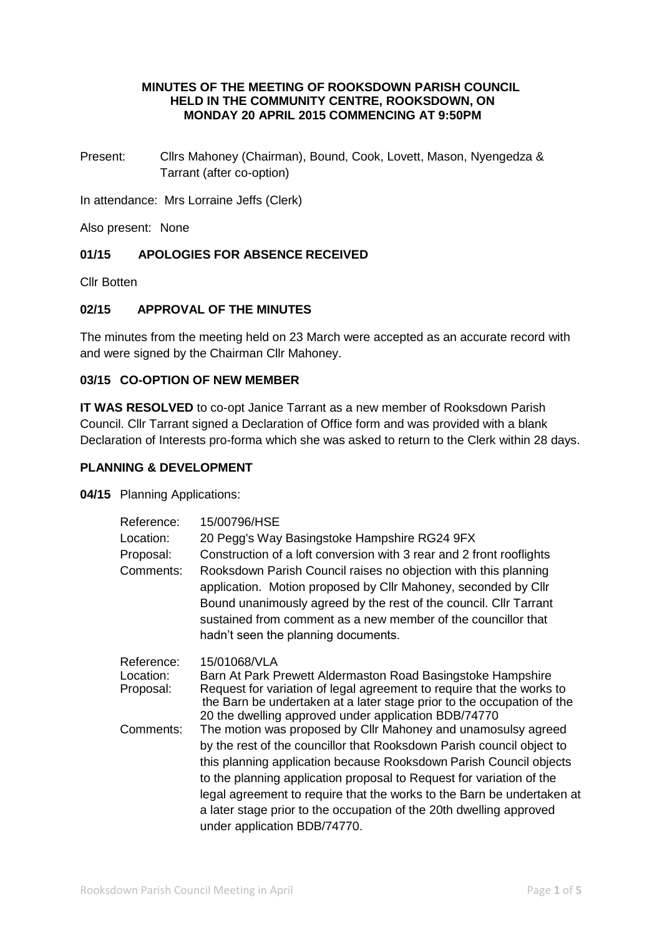## **MINUTES OF THE MEETING OF ROOKSDOWN PARISH COUNCIL HELD IN THE COMMUNITY CENTRE, ROOKSDOWN, ON MONDAY 20 APRIL 2015 COMMENCING AT 9:50PM**

Present: Cllrs Mahoney (Chairman), Bound, Cook, Lovett, Mason, Nyengedza & Tarrant (after co-option)

In attendance: Mrs Lorraine Jeffs (Clerk)

Also present: None

## **01/15 APOLOGIES FOR ABSENCE RECEIVED**

Cllr Botten

## **02/15 APPROVAL OF THE MINUTES**

The minutes from the meeting held on 23 March were accepted as an accurate record with and were signed by the Chairman Cllr Mahoney.

## **03/15 CO-OPTION OF NEW MEMBER**

**IT WAS RESOLVED** to co-opt Janice Tarrant as a new member of Rooksdown Parish Council. Cllr Tarrant signed a Declaration of Office form and was provided with a blank Declaration of Interests pro-forma which she was asked to return to the Clerk within 28 days.

#### **PLANNING & DEVELOPMENT**

**04/15** Planning Applications:

| Reference:                           | 15/00796/HSE                                                                                                                                                                                                                                                                                                   |
|--------------------------------------|----------------------------------------------------------------------------------------------------------------------------------------------------------------------------------------------------------------------------------------------------------------------------------------------------------------|
| Location:                            | 20 Pegg's Way Basingstoke Hampshire RG24 9FX                                                                                                                                                                                                                                                                   |
| Proposal:                            | Construction of a loft conversion with 3 rear and 2 front rooflights                                                                                                                                                                                                                                           |
| Comments:                            | Rooksdown Parish Council raises no objection with this planning<br>application. Motion proposed by Cllr Mahoney, seconded by Cllr<br>Bound unanimously agreed by the rest of the council. Cllr Tarrant<br>sustained from comment as a new member of the councillor that<br>hadn't seen the planning documents. |
| Reference:<br>Location:<br>Proposal: | 15/01068/VLA<br>Barn At Park Prewett Aldermaston Road Basingstoke Hampshire<br>Request for variation of legal agreement to require that the works to<br>the Barn be undertaken at a later stage prior to the occupation of the<br>20 the dwelling approved under application BDB/74770                         |
| Comments:                            | The motion was proposed by Cllr Mahoney and unamosulsy agreed                                                                                                                                                                                                                                                  |
|                                      | by the rest of the councillor that Rooksdown Parish council object to                                                                                                                                                                                                                                          |
|                                      | this planning application because Rooksdown Parish Council objects                                                                                                                                                                                                                                             |
|                                      | to the planning application proposal to Request for variation of the                                                                                                                                                                                                                                           |
|                                      | legal agreement to require that the works to the Barn be undertaken at                                                                                                                                                                                                                                         |
|                                      | a later stage prior to the occupation of the 20th dwelling approved                                                                                                                                                                                                                                            |
|                                      | under application BDB/74770.                                                                                                                                                                                                                                                                                   |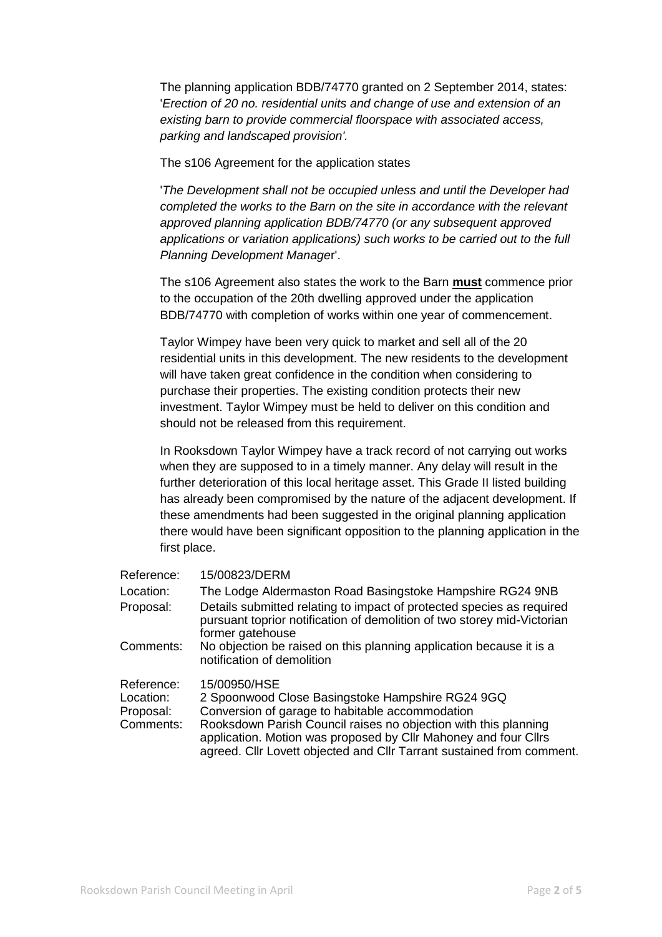The planning application BDB/74770 granted on 2 September 2014, states: '*Erection of 20 no. residential units and change of use and extension of an existing barn to provide commercial floorspace with associated access, parking and landscaped provision'.* 

The s106 Agreement for the application states

'*The Development shall not be occupied unless and until the Developer had completed the works to the Barn on the site in accordance with the relevant approved planning application BDB/74770 (or any subsequent approved applications or variation applications) such works to be carried out to the full Planning Development Manage*r'.

The s106 Agreement also states the work to the Barn **must** commence prior to the occupation of the 20th dwelling approved under the application BDB/74770 with completion of works within one year of commencement.

Taylor Wimpey have been very quick to market and sell all of the 20 residential units in this development. The new residents to the development will have taken great confidence in the condition when considering to purchase their properties. The existing condition protects their new investment. Taylor Wimpey must be held to deliver on this condition and should not be released from this requirement.

In Rooksdown Taylor Wimpey have a track record of not carrying out works when they are supposed to in a timely manner. Any delay will result in the further deterioration of this local heritage asset. This Grade II listed building has already been compromised by the nature of the adjacent development. If these amendments had been suggested in the original planning application there would have been significant opposition to the planning application in the first place.

| Reference:                                        | 15/00823/DERM                                                                                                                                                                                                                                                                                                                      |
|---------------------------------------------------|------------------------------------------------------------------------------------------------------------------------------------------------------------------------------------------------------------------------------------------------------------------------------------------------------------------------------------|
| Location:                                         | The Lodge Aldermaston Road Basingstoke Hampshire RG24 9NB                                                                                                                                                                                                                                                                          |
| Proposal:                                         | Details submitted relating to impact of protected species as required<br>pursuant toprior notification of demolition of two storey mid-Victorian<br>former gatehouse                                                                                                                                                               |
| Comments:                                         | No objection be raised on this planning application because it is a<br>notification of demolition                                                                                                                                                                                                                                  |
| Reference:<br>Location:<br>Proposal:<br>Comments: | 15/00950/HSE<br>2 Spoonwood Close Basingstoke Hampshire RG24 9GQ<br>Conversion of garage to habitable accommodation<br>Rooksdown Parish Council raises no objection with this planning<br>application. Motion was proposed by Cllr Mahoney and four Cllrs<br>agreed. Cllr Lovett objected and Cllr Tarrant sustained from comment. |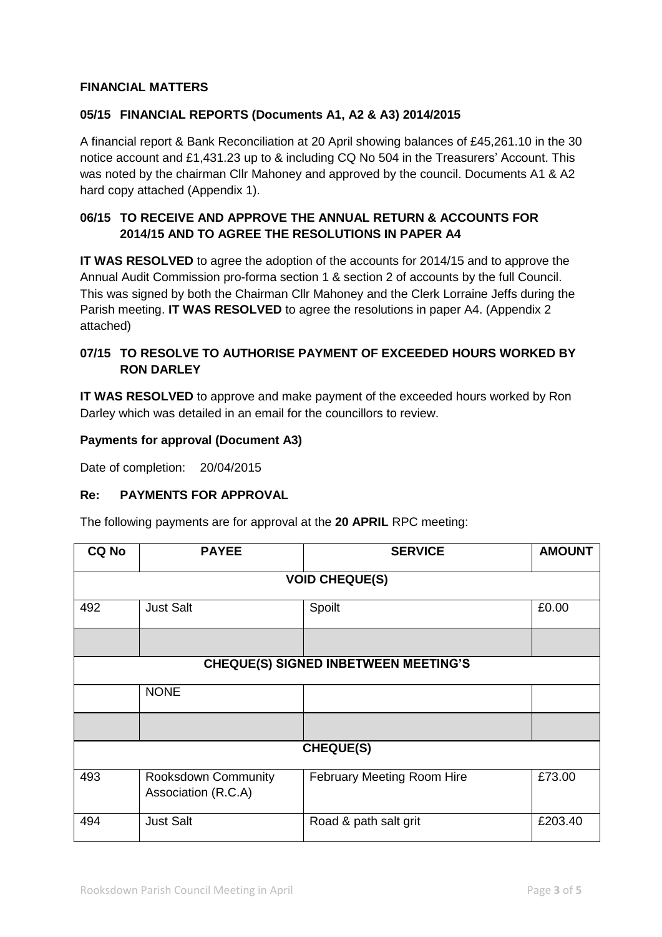## **FINANCIAL MATTERS**

## **05/15 FINANCIAL REPORTS (Documents A1, A2 & A3) 2014/2015**

A financial report & Bank Reconciliation at 20 April showing balances of £45,261.10 in the 30 notice account and £1,431.23 up to & including CQ No 504 in the Treasurers' Account. This was noted by the chairman Cllr Mahoney and approved by the council. Documents A1 & A2 hard copy attached (Appendix 1).

## **06/15 TO RECEIVE AND APPROVE THE ANNUAL RETURN & ACCOUNTS FOR 2014/15 AND TO AGREE THE RESOLUTIONS IN PAPER A4**

**IT WAS RESOLVED** to agree the adoption of the accounts for 2014/15 and to approve the Annual Audit Commission pro-forma section 1 & section 2 of accounts by the full Council. This was signed by both the Chairman Cllr Mahoney and the Clerk Lorraine Jeffs during the Parish meeting. **IT WAS RESOLVED** to agree the resolutions in paper A4. (Appendix 2 attached)

## **07/15 TO RESOLVE TO AUTHORISE PAYMENT OF EXCEEDED HOURS WORKED BY RON DARLEY**

**IT WAS RESOLVED** to approve and make payment of the exceeded hours worked by Ron Darley which was detailed in an email for the councillors to review.

#### **Payments for approval (Document A3)**

Date of completion: 20/04/2015

#### **Re: PAYMENTS FOR APPROVAL**

The following payments are for approval at the **20 APRIL** RPC meeting:

| <b>CQ No</b>                                | <b>PAYEE</b>                               | <b>SERVICE</b>             | <b>AMOUNT</b> |  |  |  |  |
|---------------------------------------------|--------------------------------------------|----------------------------|---------------|--|--|--|--|
| <b>VOID CHEQUE(S)</b>                       |                                            |                            |               |  |  |  |  |
| 492                                         | <b>Just Salt</b>                           | Spoilt                     | £0.00         |  |  |  |  |
|                                             |                                            |                            |               |  |  |  |  |
| <b>CHEQUE(S) SIGNED INBETWEEN MEETING'S</b> |                                            |                            |               |  |  |  |  |
|                                             | <b>NONE</b>                                |                            |               |  |  |  |  |
|                                             |                                            |                            |               |  |  |  |  |
| <b>CHEQUE(S)</b>                            |                                            |                            |               |  |  |  |  |
| 493                                         | Rooksdown Community<br>Association (R.C.A) | February Meeting Room Hire | £73.00        |  |  |  |  |
| 494                                         | <b>Just Salt</b>                           | Road & path salt grit      | £203.40       |  |  |  |  |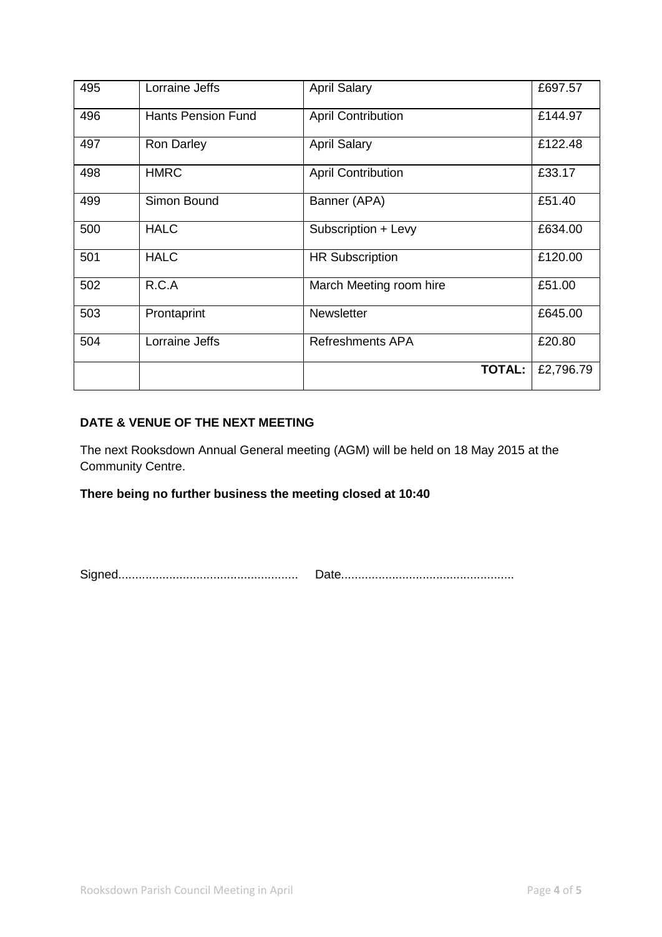| 495 | Lorraine Jeffs            | <b>April Salary</b>       | £697.57   |
|-----|---------------------------|---------------------------|-----------|
| 496 | <b>Hants Pension Fund</b> | <b>April Contribution</b> | £144.97   |
| 497 | <b>Ron Darley</b>         | <b>April Salary</b>       | £122.48   |
| 498 | <b>HMRC</b>               | <b>April Contribution</b> | £33.17    |
| 499 | Simon Bound               | Banner (APA)              | £51.40    |
| 500 | <b>HALC</b>               | Subscription + Levy       | £634.00   |
| 501 | <b>HALC</b>               | <b>HR Subscription</b>    | £120.00   |
| 502 | R.C.A                     | March Meeting room hire   | £51.00    |
| 503 | Prontaprint               | <b>Newsletter</b>         | £645.00   |
| 504 | Lorraine Jeffs            | <b>Refreshments APA</b>   | £20.80    |
|     |                           | <b>TOTAL:</b>             | £2,796.79 |

## **DATE & VENUE OF THE NEXT MEETING**

The next Rooksdown Annual General meeting (AGM) will be held on 18 May 2015 at the Community Centre.

**There being no further business the meeting closed at 10:40**

Signed..................................................... Date...................................................